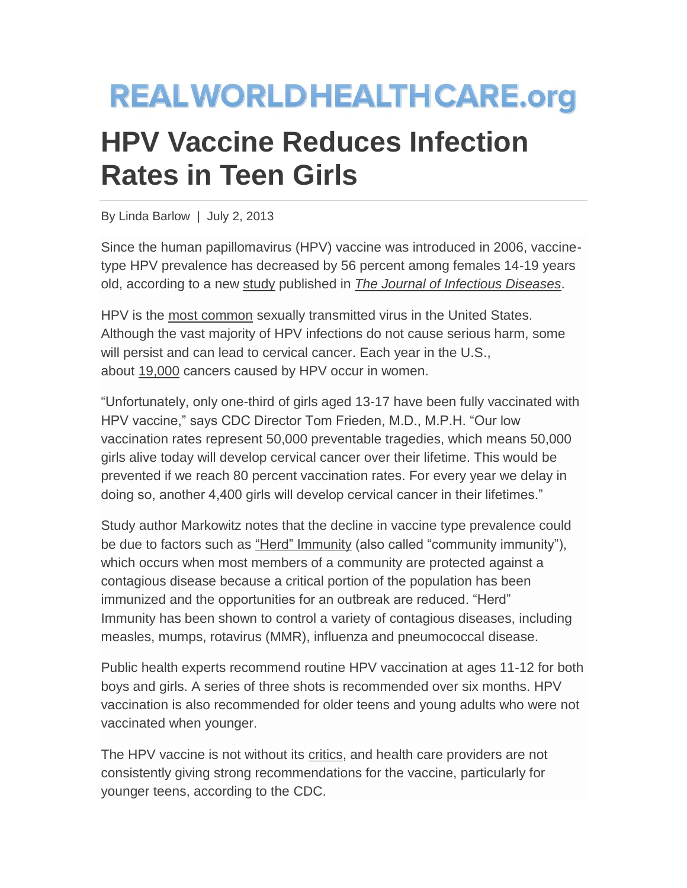## **REALWORLDHEALTHCARE.org**

## **HPV Vaccine Reduces Infection Rates in Teen Girls**

By Linda Barlow | July 2, 2013

Since the human papillomavirus (HPV) vaccine was introduced in 2006, vaccinetype HPV prevalence has decreased by 56 percent among females 14-19 years old, according to a new [study](http://www.cdc.gov/media/releases/2013/t0619-hpv-vaccinations.html.mp3) published in *[The Journal of Infectious Diseases](http://jid.oxfordjournals.org/content/early/recent)*.

HPV is the [most common](http://www.cdc.gov/hpv/) sexually transmitted virus in the United States. Although the vast majority of HPV infections do not cause serious harm, some will persist and can lead to cervical cancer. Each year in the U.S., about [19,000](http://www.cdc.gov/media/releases/2013/p0619-hpv-vaccinations.html) cancers caused by HPV occur in women.

"Unfortunately, only one-third of girls aged 13-17 have been fully vaccinated with HPV vaccine," says CDC Director Tom Frieden, M.D., M.P.H. "Our low vaccination rates represent 50,000 preventable tragedies, which means 50,000 girls alive today will develop cervical cancer over their lifetime. This would be prevented if we reach 80 percent vaccination rates. For every year we delay in doing so, another 4,400 girls will develop cervical cancer in their lifetimes."

Study author Markowitz notes that the decline in vaccine type prevalence could be due to factors such as ["Herd" Immunity](http://www.niaid.nih.gov/topics/pages/communityimmunity.aspx) (also called "community immunity"), which occurs when most members of a community are protected against a contagious disease because a critical portion of the population has been immunized and the opportunities for an outbreak are reduced. "Herd" Immunity has been shown to control a variety of contagious diseases, including measles, mumps, rotavirus (MMR), influenza and pneumococcal disease.

Public health experts recommend routine HPV vaccination at ages 11-12 for both boys and girls. A series of three shots is recommended over six months. HPV vaccination is also recommended for older teens and young adults who were not vaccinated when younger.

The HPV vaccine is not without its [critics,](http://www.nytimes.com/2011/09/14/us/politics/republican-candidates-battle-over-hpv-vaccine.html) and health care providers are not consistently giving strong recommendations for the vaccine, particularly for younger teens, according to the CDC.